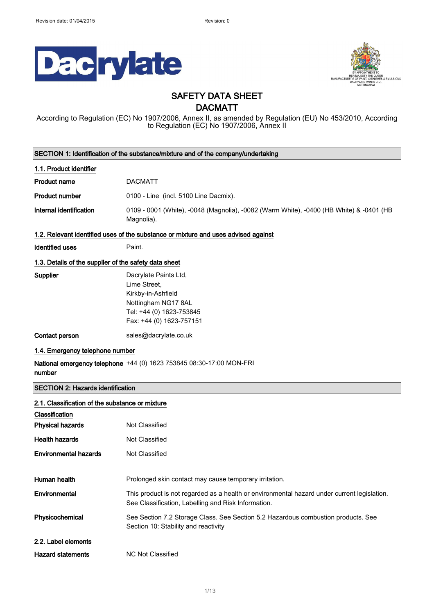



# SAFETY DATA SHEET

## DACMATT

According to Regulation (EC) No 1907/2006, Annex II, as amended by Regulation (EU) No 453/2010, According to Regulation (EC) No 1907/2006, Annex II

|                                                                                    | SECTION 1: Identification of the substance/mixture and of the company/undertaking                                                                  |  |  |
|------------------------------------------------------------------------------------|----------------------------------------------------------------------------------------------------------------------------------------------------|--|--|
| 1.1. Product identifier                                                            |                                                                                                                                                    |  |  |
| <b>Product name</b>                                                                | <b>DACMATT</b>                                                                                                                                     |  |  |
| <b>Product number</b>                                                              | 0100 - Line (incl. 5100 Line Dacmix).                                                                                                              |  |  |
| Internal identification                                                            | 0109 - 0001 (White), -0048 (Magnolia), -0082 (Warm White), -0400 (HB White) & -0401 (HB<br>Magnolia).                                              |  |  |
| 1.2. Relevant identified uses of the substance or mixture and uses advised against |                                                                                                                                                    |  |  |
| <b>Identified uses</b>                                                             | Paint.                                                                                                                                             |  |  |
| 1.3. Details of the supplier of the safety data sheet                              |                                                                                                                                                    |  |  |
| Supplier                                                                           | Dacrylate Paints Ltd,<br>Lime Street,<br>Kirkby-in-Ashfield<br>Nottingham NG17 8AL<br>Tel: +44 (0) 1623-753845<br>Fax: +44 (0) 1623-757151         |  |  |
| Contact person                                                                     | sales@dacrylate.co.uk                                                                                                                              |  |  |
| 1.4. Emergency telephone number                                                    |                                                                                                                                                    |  |  |
| number                                                                             | National emergency telephone +44 (0) 1623 753845 08:30-17:00 MON-FRI                                                                               |  |  |
| <b>SECTION 2: Hazards identification</b>                                           |                                                                                                                                                    |  |  |
| 2.1. Classification of the substance or mixture                                    |                                                                                                                                                    |  |  |
| Classification                                                                     |                                                                                                                                                    |  |  |
| <b>Physical hazards</b>                                                            | Not Classified                                                                                                                                     |  |  |
| <b>Health hazards</b>                                                              | <b>Not Classified</b>                                                                                                                              |  |  |
| <b>Environmental hazards</b>                                                       | Not Classified                                                                                                                                     |  |  |
|                                                                                    |                                                                                                                                                    |  |  |
| Human health                                                                       | Prolonged skin contact may cause temporary irritation.                                                                                             |  |  |
| Environmental                                                                      | This product is not regarded as a health or environmental hazard under current legislation.<br>See Classification, Labelling and Risk Information. |  |  |
| Physicochemical                                                                    | See Section 7.2 Storage Class. See Section 5.2 Hazardous combustion products. See<br>Section 10: Stability and reactivity                          |  |  |
| 2.2. Label elements                                                                |                                                                                                                                                    |  |  |
| <b>Hazard statements</b>                                                           | <b>NC Not Classified</b>                                                                                                                           |  |  |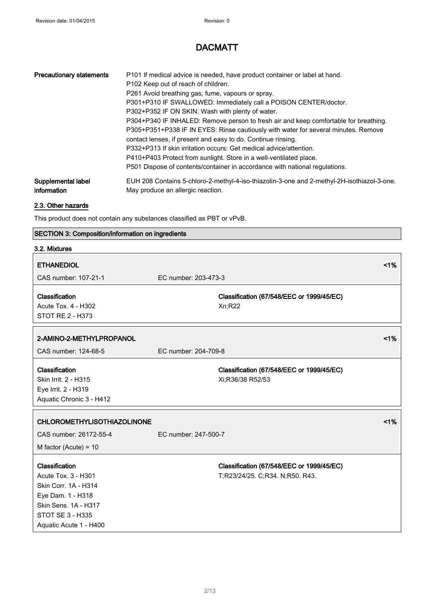| <b>Precautionary statements</b> | P101 If medical advice is needed, have product container or label at hand.<br>P102 Keep out of reach of children.<br>P261 Avoid breathing gas, fume, vapours or spray.<br>P301+P310 IF SWALLOWED: Immediately call a POISON CENTER/doctor.<br>P302+P352 IF ON SKIN: Wash with plenty of water.<br>P304+P340 IF INHALED: Remove person to fresh air and keep comfortable for breathing.<br>P305+P351+P338 IF IN EYES: Rinse cautiously with water for several minutes. Remove<br>contact lenses, if present and easy to do. Continue rinsing.<br>P332+P313 If skin irritation occurs: Get medical advice/attention.<br>P410+P403 Protect from sunlight. Store in a well-ventilated place.<br>P501 Dispose of contents/container in accordance with national regulations. |
|---------------------------------|-------------------------------------------------------------------------------------------------------------------------------------------------------------------------------------------------------------------------------------------------------------------------------------------------------------------------------------------------------------------------------------------------------------------------------------------------------------------------------------------------------------------------------------------------------------------------------------------------------------------------------------------------------------------------------------------------------------------------------------------------------------------------|
| Supplemental label              | EUH 208 Contains 5-chloro-2-methyl-4-iso-thiazolin-3-one and 2-methyl-2H-isothiazol-3-one.                                                                                                                                                                                                                                                                                                                                                                                                                                                                                                                                                                                                                                                                              |
| information                     | May produce an allergic reaction.                                                                                                                                                                                                                                                                                                                                                                                                                                                                                                                                                                                                                                                                                                                                       |

### 2.3. Other hazards

This product does not contain any substances classified as PBT or vPvB.

# SECTION 3: Composition/information on ingredients

### 3.2. Mixtures

| <b>ETHANEDIOL</b>                                                                                                                                        |                                                                              | 1% |
|----------------------------------------------------------------------------------------------------------------------------------------------------------|------------------------------------------------------------------------------|----|
| CAS number: 107-21-1                                                                                                                                     | EC number: 203-473-3                                                         |    |
| Classification<br>Acute Tox. 4 - H302<br><b>STOT RE 2 - H373</b>                                                                                         | Classification (67/548/EEC or 1999/45/EC)<br>Xn; R22                         |    |
| 2-AMINO-2-METHYLPROPANOL                                                                                                                                 |                                                                              | 1% |
| CAS number: 124-68-5                                                                                                                                     | EC number: 204-709-8                                                         |    |
| Classification<br>Skin Irrit. 2 - H315<br>Eye Irrit. 2 - H319<br>Aquatic Chronic 3 - H412                                                                | Classification (67/548/EEC or 1999/45/EC)<br>Xi;R36/38 R52/53                |    |
| <b>CHLOROMETHYLISOTHIAZOLINONE</b>                                                                                                                       |                                                                              | 1% |
| CAS number: 26172-55-4                                                                                                                                   | EC number: 247-500-7                                                         |    |
| M factor (Acute) = $10$                                                                                                                                  |                                                                              |    |
| Classification<br>Acute Tox. 3 - H301<br>Skin Corr. 1A - H314<br>Eye Dam. 1 - H318<br>Skin Sens. 1A - H317<br>STOT SE 3 - H335<br>Aquatic Acute 1 - H400 | Classification (67/548/EEC or 1999/45/EC)<br>T;R23/24/25. C;R34. N;R50. R43. |    |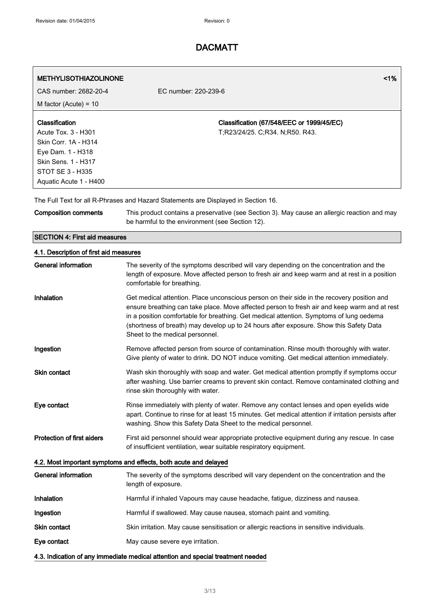| <b>METHYLISOTHIAZOLINONE</b><br>CAS number: 2682-20-4                                                                                                          | 1%<br>EC number: 220-239-6                                                                                                                                                                                                                                                                                                                                                                                         |  |
|----------------------------------------------------------------------------------------------------------------------------------------------------------------|--------------------------------------------------------------------------------------------------------------------------------------------------------------------------------------------------------------------------------------------------------------------------------------------------------------------------------------------------------------------------------------------------------------------|--|
| M factor (Acute) = $10$                                                                                                                                        |                                                                                                                                                                                                                                                                                                                                                                                                                    |  |
| Classification<br>Acute Tox. 3 - H301<br>Skin Corr. 1A - H314<br>Eye Dam. 1 - H318<br><b>Skin Sens. 1 - H317</b><br>STOT SE 3 - H335<br>Aquatic Acute 1 - H400 | Classification (67/548/EEC or 1999/45/EC)<br>T;R23/24/25. C;R34. N;R50. R43.                                                                                                                                                                                                                                                                                                                                       |  |
|                                                                                                                                                                | The Full Text for all R-Phrases and Hazard Statements are Displayed in Section 16.                                                                                                                                                                                                                                                                                                                                 |  |
| <b>Composition comments</b>                                                                                                                                    | This product contains a preservative (see Section 3). May cause an allergic reaction and may<br>be harmful to the environment (see Section 12).                                                                                                                                                                                                                                                                    |  |
| <b>SECTION 4: First aid measures</b>                                                                                                                           |                                                                                                                                                                                                                                                                                                                                                                                                                    |  |
| 4.1. Description of first aid measures                                                                                                                         |                                                                                                                                                                                                                                                                                                                                                                                                                    |  |
| <b>General information</b>                                                                                                                                     | The severity of the symptoms described will vary depending on the concentration and the<br>length of exposure. Move affected person to fresh air and keep warm and at rest in a position<br>comfortable for breathing.                                                                                                                                                                                             |  |
| Inhalation                                                                                                                                                     | Get medical attention. Place unconscious person on their side in the recovery position and<br>ensure breathing can take place. Move affected person to fresh air and keep warm and at rest<br>in a position comfortable for breathing. Get medical attention. Symptoms of lung oedema<br>(shortness of breath) may develop up to 24 hours after exposure. Show this Safety Data<br>Sheet to the medical personnel. |  |
| Ingestion                                                                                                                                                      | Remove affected person from source of contamination. Rinse mouth thoroughly with water.<br>Give plenty of water to drink. DO NOT induce vomiting. Get medical attention immediately.                                                                                                                                                                                                                               |  |
| <b>Skin contact</b>                                                                                                                                            | Wash skin thoroughly with soap and water. Get medical attention promptly if symptoms occur<br>after washing. Use barrier creams to prevent skin contact. Remove contaminated clothing and<br>rinse skin thoroughly with water.                                                                                                                                                                                     |  |
| Eye contact                                                                                                                                                    | Rinse immediately with plenty of water. Remove any contact lenses and open eyelids wide<br>apart. Continue to rinse for at least 15 minutes. Get medical attention if irritation persists after<br>washing. Show this Safety Data Sheet to the medical personnel.                                                                                                                                                  |  |
| <b>Protection of first aiders</b>                                                                                                                              | First aid personnel should wear appropriate protective equipment during any rescue. In case<br>of insufficient ventilation, wear suitable respiratory equipment.                                                                                                                                                                                                                                                   |  |
|                                                                                                                                                                | 4.2. Most important symptoms and effects, both acute and delayed                                                                                                                                                                                                                                                                                                                                                   |  |
| <b>General information</b>                                                                                                                                     | The severity of the symptoms described will vary dependent on the concentration and the<br>length of exposure.                                                                                                                                                                                                                                                                                                     |  |
| Inhalation                                                                                                                                                     | Harmful if inhaled Vapours may cause headache, fatigue, dizziness and nausea.                                                                                                                                                                                                                                                                                                                                      |  |

Ingestion **Harmful if swallowed. May cause nausea**, stomach paint and vomiting.

Skin contact Skin irritation. May cause sensitisation or allergic reactions in sensitive individuals.

Eye contact May cause severe eye irritation.

4.3. Indication of any immediate medical attention and special treatment needed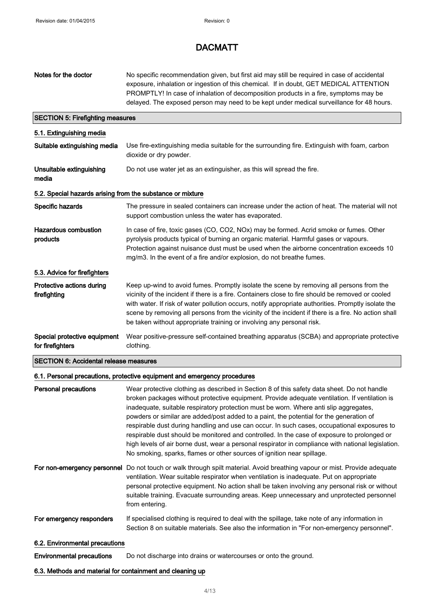| Notes for the doctor                                       | No specific recommendation given, but first aid may still be required in case of accidental<br>exposure, inhalation or ingestion of this chemical. If in doubt, GET MEDICAL ATTENTION<br>PROMPTLY! In case of inhalation of decomposition products in a fire, symptoms may be<br>delayed. The exposed person may need to be kept under medical surveillance for 48 hours.                                                                                                                                                                                                                                                                                                                                                                                      |  |  |  |
|------------------------------------------------------------|----------------------------------------------------------------------------------------------------------------------------------------------------------------------------------------------------------------------------------------------------------------------------------------------------------------------------------------------------------------------------------------------------------------------------------------------------------------------------------------------------------------------------------------------------------------------------------------------------------------------------------------------------------------------------------------------------------------------------------------------------------------|--|--|--|
|                                                            | <b>SECTION 5: Firefighting measures</b>                                                                                                                                                                                                                                                                                                                                                                                                                                                                                                                                                                                                                                                                                                                        |  |  |  |
| 5.1. Extinguishing media                                   |                                                                                                                                                                                                                                                                                                                                                                                                                                                                                                                                                                                                                                                                                                                                                                |  |  |  |
| Suitable extinguishing media                               | Use fire-extinguishing media suitable for the surrounding fire. Extinguish with foam, carbon<br>dioxide or dry powder.                                                                                                                                                                                                                                                                                                                                                                                                                                                                                                                                                                                                                                         |  |  |  |
| Unsuitable extinguishing<br>media                          | Do not use water jet as an extinguisher, as this will spread the fire.                                                                                                                                                                                                                                                                                                                                                                                                                                                                                                                                                                                                                                                                                         |  |  |  |
| 5.2. Special hazards arising from the substance or mixture |                                                                                                                                                                                                                                                                                                                                                                                                                                                                                                                                                                                                                                                                                                                                                                |  |  |  |
| Specific hazards                                           | The pressure in sealed containers can increase under the action of heat. The material will not<br>support combustion unless the water has evaporated.                                                                                                                                                                                                                                                                                                                                                                                                                                                                                                                                                                                                          |  |  |  |
| <b>Hazardous combustion</b><br>products                    | In case of fire, toxic gases (CO, CO2, NOx) may be formed. Acrid smoke or fumes. Other<br>pyrolysis products typical of burning an organic material. Harmful gases or vapours.<br>Protection against nuisance dust must be used when the airborne concentration exceeds 10<br>mg/m3. In the event of a fire and/or explosion, do not breathe fumes.                                                                                                                                                                                                                                                                                                                                                                                                            |  |  |  |
| 5.3. Advice for firefighters                               |                                                                                                                                                                                                                                                                                                                                                                                                                                                                                                                                                                                                                                                                                                                                                                |  |  |  |
| Protective actions during<br>firefighting                  | Keep up-wind to avoid fumes. Promptly isolate the scene by removing all persons from the<br>vicinity of the incident if there is a fire. Containers close to fire should be removed or cooled<br>with water. If risk of water pollution occurs, notify appropriate authorities. Promptly isolate the<br>scene by removing all persons from the vicinity of the incident if there is a fire. No action shall<br>be taken without appropriate training or involving any personal risk.                                                                                                                                                                                                                                                                           |  |  |  |
| Special protective equipment<br>for firefighters           | Wear positive-pressure self-contained breathing apparatus (SCBA) and appropriate protective<br>clothing.                                                                                                                                                                                                                                                                                                                                                                                                                                                                                                                                                                                                                                                       |  |  |  |
| <b>SECTION 6: Accidental release measures</b>              |                                                                                                                                                                                                                                                                                                                                                                                                                                                                                                                                                                                                                                                                                                                                                                |  |  |  |
|                                                            | 6.1. Personal precautions, protective equipment and emergency procedures                                                                                                                                                                                                                                                                                                                                                                                                                                                                                                                                                                                                                                                                                       |  |  |  |
| <b>Personal precautions</b>                                | Wear protective clothing as described in Section 8 of this safety data sheet. Do not handle<br>broken packages without protective equipment. Provide adequate ventilation. If ventilation is<br>inadequate, suitable respiratory protection must be worn. Where anti slip aggregates,<br>powders or similar are added/post added to a paint, the potential for the generation of<br>respirable dust during handling and use can occur. In such cases, occupational exposures to<br>respirable dust should be monitored and controlled. In the case of exposure to prolonged or<br>high levels of air borne dust, wear a personal respirator in compliance with national legislation.<br>No smoking, sparks, flames or other sources of ignition near spillage. |  |  |  |
|                                                            | For non-emergency personnel Do not touch or walk through spilt material. Avoid breathing vapour or mist. Provide adequate<br>ventilation. Wear suitable respirator when ventilation is inadequate. Put on appropriate<br>personal protective equipment. No action shall be taken involving any personal risk or without<br>suitable training. Evacuate surrounding areas. Keep unnecessary and unprotected personnel<br>from entering.                                                                                                                                                                                                                                                                                                                         |  |  |  |
| For emergency responders                                   | If specialised clothing is required to deal with the spillage, take note of any information in<br>Section 8 on suitable materials. See also the information in "For non-emergency personnel".                                                                                                                                                                                                                                                                                                                                                                                                                                                                                                                                                                  |  |  |  |
| 6.2. Environmental precautions                             |                                                                                                                                                                                                                                                                                                                                                                                                                                                                                                                                                                                                                                                                                                                                                                |  |  |  |
| <b>Environmental precautions</b>                           | Do not discharge into drains or watercourses or onto the ground.                                                                                                                                                                                                                                                                                                                                                                                                                                                                                                                                                                                                                                                                                               |  |  |  |
| 6.3. Methods and material for containment and cleaning up  |                                                                                                                                                                                                                                                                                                                                                                                                                                                                                                                                                                                                                                                                                                                                                                |  |  |  |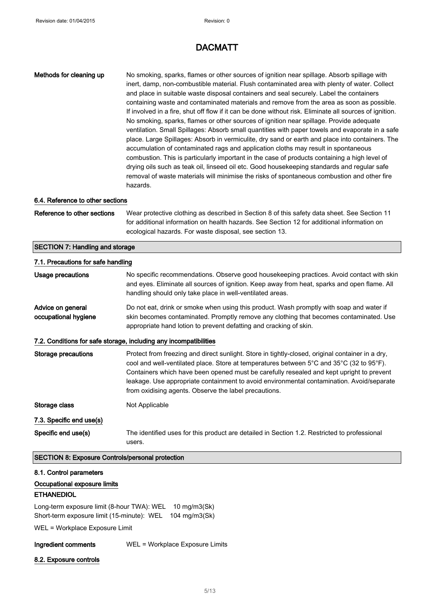| No smoking, sparks, flames or other sources of ignition near spillage. Absorb spillage with<br>inert, damp, non-combustible material. Flush contaminated area with plenty of water. Collect<br>and place in suitable waste disposal containers and seal securely. Label the containers<br>containing waste and contaminated materials and remove from the area as soon as possible.<br>If involved in a fire, shut off flow if it can be done without risk. Eliminate all sources of ignition.<br>No smoking, sparks, flames or other sources of ignition near spillage. Provide adequate<br>ventilation. Small Spillages: Absorb small quantities with paper towels and evaporate in a safe<br>place. Large Spillages: Absorb in vermiculite, dry sand or earth and place into containers. The<br>accumulation of contaminated rags and application cloths may result in spontaneous<br>combustion. This is particularly important in the case of products containing a high level of<br>drying oils such as teak oil, linseed oil etc. Good housekeeping standards and regular safe<br>removal of waste materials will minimise the risks of spontaneous combustion and other fire<br>hazards. |  |
|--------------------------------------------------------------------------------------------------------------------------------------------------------------------------------------------------------------------------------------------------------------------------------------------------------------------------------------------------------------------------------------------------------------------------------------------------------------------------------------------------------------------------------------------------------------------------------------------------------------------------------------------------------------------------------------------------------------------------------------------------------------------------------------------------------------------------------------------------------------------------------------------------------------------------------------------------------------------------------------------------------------------------------------------------------------------------------------------------------------------------------------------------------------------------------------------------|--|
| 6.4. Reference to other sections                                                                                                                                                                                                                                                                                                                                                                                                                                                                                                                                                                                                                                                                                                                                                                                                                                                                                                                                                                                                                                                                                                                                                                 |  |
| Wear protective clothing as described in Section 8 of this safety data sheet. See Section 11<br>for additional information on health hazards. See Section 12 for additional information on<br>ecological hazards. For waste disposal, see section 13.                                                                                                                                                                                                                                                                                                                                                                                                                                                                                                                                                                                                                                                                                                                                                                                                                                                                                                                                            |  |
| <b>SECTION 7: Handling and storage</b>                                                                                                                                                                                                                                                                                                                                                                                                                                                                                                                                                                                                                                                                                                                                                                                                                                                                                                                                                                                                                                                                                                                                                           |  |
| 7.1. Precautions for safe handling                                                                                                                                                                                                                                                                                                                                                                                                                                                                                                                                                                                                                                                                                                                                                                                                                                                                                                                                                                                                                                                                                                                                                               |  |
| No specific recommendations. Observe good housekeeping practices. Avoid contact with skin<br>and eyes. Eliminate all sources of ignition. Keep away from heat, sparks and open flame. All<br>handling should only take place in well-ventilated areas.                                                                                                                                                                                                                                                                                                                                                                                                                                                                                                                                                                                                                                                                                                                                                                                                                                                                                                                                           |  |
| Do not eat, drink or smoke when using this product. Wash promptly with soap and water if<br>skin becomes contaminated. Promptly remove any clothing that becomes contaminated. Use<br>appropriate hand lotion to prevent defatting and cracking of skin.                                                                                                                                                                                                                                                                                                                                                                                                                                                                                                                                                                                                                                                                                                                                                                                                                                                                                                                                         |  |
| 7.2. Conditions for safe storage, including any incompatibilities                                                                                                                                                                                                                                                                                                                                                                                                                                                                                                                                                                                                                                                                                                                                                                                                                                                                                                                                                                                                                                                                                                                                |  |
| Protect from freezing and direct sunlight. Store in tightly-closed, original container in a dry,<br>cool and well-ventilated place. Store at temperatures between 5°C and 35°C (32 to 95°F).<br>Containers which have been opened must be carefully resealed and kept upright to prevent<br>leakage. Use appropriate containment to avoid environmental contamination. Avoid/separate<br>from oxidising agents. Observe the label precautions.                                                                                                                                                                                                                                                                                                                                                                                                                                                                                                                                                                                                                                                                                                                                                   |  |
| Not Applicable                                                                                                                                                                                                                                                                                                                                                                                                                                                                                                                                                                                                                                                                                                                                                                                                                                                                                                                                                                                                                                                                                                                                                                                   |  |
|                                                                                                                                                                                                                                                                                                                                                                                                                                                                                                                                                                                                                                                                                                                                                                                                                                                                                                                                                                                                                                                                                                                                                                                                  |  |
| The identified uses for this product are detailed in Section 1.2. Restricted to professional<br>users.                                                                                                                                                                                                                                                                                                                                                                                                                                                                                                                                                                                                                                                                                                                                                                                                                                                                                                                                                                                                                                                                                           |  |
| <b>SECTION 8: Exposure Controls/personal protection</b>                                                                                                                                                                                                                                                                                                                                                                                                                                                                                                                                                                                                                                                                                                                                                                                                                                                                                                                                                                                                                                                                                                                                          |  |
| Long-term exposure limit (8-hour TWA): WEL<br>10 mg/m3(Sk)<br>Short-term exposure limit (15-minute): WEL<br>104 mg/m3(Sk)                                                                                                                                                                                                                                                                                                                                                                                                                                                                                                                                                                                                                                                                                                                                                                                                                                                                                                                                                                                                                                                                        |  |
|                                                                                                                                                                                                                                                                                                                                                                                                                                                                                                                                                                                                                                                                                                                                                                                                                                                                                                                                                                                                                                                                                                                                                                                                  |  |

WEL = Workplace Exposure Limit

Ingredient comments WEL = Workplace Exposure Limits

8.2. Exposure controls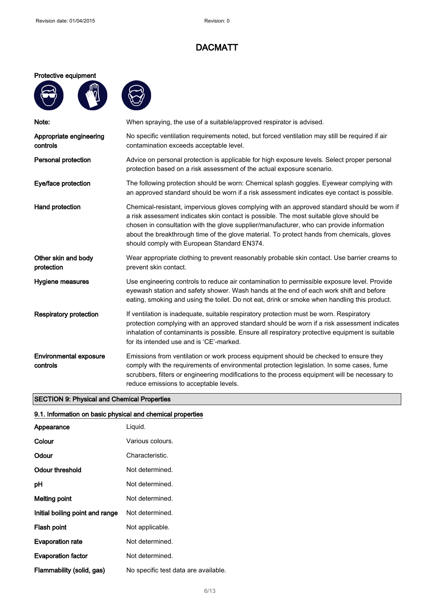#### Protective equipment

 $\mathbf{w}$ 





| Note:                                     | When spraying, the use of a suitable/approved respirator is advised.                                                                                                                                                                                                                                                                                                                                                            |  |
|-------------------------------------------|---------------------------------------------------------------------------------------------------------------------------------------------------------------------------------------------------------------------------------------------------------------------------------------------------------------------------------------------------------------------------------------------------------------------------------|--|
| Appropriate engineering<br>controls       | No specific ventilation requirements noted, but forced ventilation may still be required if air<br>contamination exceeds acceptable level.                                                                                                                                                                                                                                                                                      |  |
| <b>Personal protection</b>                | Advice on personal protection is applicable for high exposure levels. Select proper personal<br>protection based on a risk assessment of the actual exposure scenario.                                                                                                                                                                                                                                                          |  |
| Eye/face protection                       | The following protection should be worn: Chemical splash goggles. Eyewear complying with<br>an approved standard should be worn if a risk assessment indicates eye contact is possible.                                                                                                                                                                                                                                         |  |
| Hand protection                           | Chemical-resistant, impervious gloves complying with an approved standard should be worn if<br>a risk assessment indicates skin contact is possible. The most suitable glove should be<br>chosen in consultation with the glove supplier/manufacturer, who can provide information<br>about the breakthrough time of the glove material. To protect hands from chemicals, gloves<br>should comply with European Standard EN374. |  |
| Other skin and body<br>protection         | Wear appropriate clothing to prevent reasonably probable skin contact. Use barrier creams to<br>prevent skin contact.                                                                                                                                                                                                                                                                                                           |  |
| Hygiene measures                          | Use engineering controls to reduce air contamination to permissible exposure level. Provide<br>eyewash station and safety shower. Wash hands at the end of each work shift and before<br>eating, smoking and using the toilet. Do not eat, drink or smoke when handling this product.                                                                                                                                           |  |
| <b>Respiratory protection</b>             | If ventilation is inadequate, suitable respiratory protection must be worn. Respiratory<br>protection complying with an approved standard should be worn if a risk assessment indicates<br>inhalation of contaminants is possible. Ensure all respiratory protective equipment is suitable<br>for its intended use and is 'CE'-marked.                                                                                          |  |
| <b>Environmental exposure</b><br>controls | Emissions from ventilation or work process equipment should be checked to ensure they<br>comply with the requirements of environmental protection legislation. In some cases, fume<br>scrubbers, filters or engineering modifications to the process equipment will be necessary to<br>reduce emissions to acceptable levels.                                                                                                   |  |

### SECTION 9: Physical and Chemical Properties

### 9.1. Information on basic physical and chemical properties

| Appearance                      | Liquid.                              |
|---------------------------------|--------------------------------------|
| Colour                          | Various colours.                     |
| Odour                           | Characteristic.                      |
| <b>Odour threshold</b>          | Not determined.                      |
| рH                              | Not determined.                      |
| Melting point                   | Not determined.                      |
| Initial boiling point and range | Not determined.                      |
| Flash point                     | Not applicable.                      |
| <b>Evaporation rate</b>         | Not determined.                      |
| <b>Evaporation factor</b>       | Not determined.                      |
| Flammability (solid, gas)       | No specific test data are available. |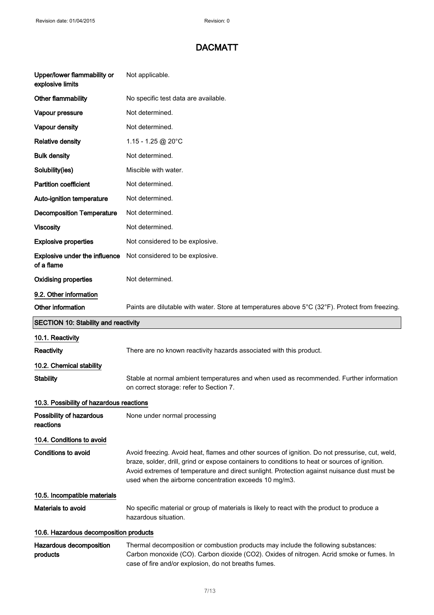| Upper/lower flammability or<br>explosive limits                                                                      | Not applicable.                                                                                                                                                                                                                                                                                                                                            |  |  |
|----------------------------------------------------------------------------------------------------------------------|------------------------------------------------------------------------------------------------------------------------------------------------------------------------------------------------------------------------------------------------------------------------------------------------------------------------------------------------------------|--|--|
| Other flammability                                                                                                   | No specific test data are available.                                                                                                                                                                                                                                                                                                                       |  |  |
| Vapour pressure                                                                                                      | Not determined.                                                                                                                                                                                                                                                                                                                                            |  |  |
| Vapour density                                                                                                       | Not determined.                                                                                                                                                                                                                                                                                                                                            |  |  |
| <b>Relative density</b>                                                                                              | 1.15 - 1.25 @ 20°C                                                                                                                                                                                                                                                                                                                                         |  |  |
| <b>Bulk density</b>                                                                                                  | Not determined.                                                                                                                                                                                                                                                                                                                                            |  |  |
| Solubility(ies)                                                                                                      | Miscible with water.                                                                                                                                                                                                                                                                                                                                       |  |  |
| <b>Partition coefficient</b>                                                                                         | Not determined.                                                                                                                                                                                                                                                                                                                                            |  |  |
| Auto-ignition temperature                                                                                            | Not determined.                                                                                                                                                                                                                                                                                                                                            |  |  |
| <b>Decomposition Temperature</b>                                                                                     | Not determined.                                                                                                                                                                                                                                                                                                                                            |  |  |
| <b>Viscosity</b>                                                                                                     | Not determined.                                                                                                                                                                                                                                                                                                                                            |  |  |
| <b>Explosive properties</b>                                                                                          | Not considered to be explosive.                                                                                                                                                                                                                                                                                                                            |  |  |
| <b>Explosive under the influence</b><br>of a flame                                                                   | Not considered to be explosive.                                                                                                                                                                                                                                                                                                                            |  |  |
| <b>Oxidising properties</b>                                                                                          | Not determined.                                                                                                                                                                                                                                                                                                                                            |  |  |
| 9.2. Other information                                                                                               |                                                                                                                                                                                                                                                                                                                                                            |  |  |
| Other information<br>Paints are dilutable with water. Store at temperatures above 5°C (32°F). Protect from freezing. |                                                                                                                                                                                                                                                                                                                                                            |  |  |
| <b>SECTION 10: Stability and reactivity</b>                                                                          |                                                                                                                                                                                                                                                                                                                                                            |  |  |
| 10.1. Reactivity                                                                                                     |                                                                                                                                                                                                                                                                                                                                                            |  |  |
| Reactivity                                                                                                           | There are no known reactivity hazards associated with this product.                                                                                                                                                                                                                                                                                        |  |  |
| 10.2. Chemical stability                                                                                             |                                                                                                                                                                                                                                                                                                                                                            |  |  |
| <b>Stability</b>                                                                                                     | Stable at normal ambient temperatures and when used as recommended. Further information<br>on correct storage: refer to Section 7.                                                                                                                                                                                                                         |  |  |
| 10.3. Possibility of hazardous reactions                                                                             |                                                                                                                                                                                                                                                                                                                                                            |  |  |
| Possibility of hazardous<br>reactions                                                                                | None under normal processing                                                                                                                                                                                                                                                                                                                               |  |  |
| 10.4. Conditions to avoid                                                                                            |                                                                                                                                                                                                                                                                                                                                                            |  |  |
|                                                                                                                      |                                                                                                                                                                                                                                                                                                                                                            |  |  |
| <b>Conditions to avoid</b>                                                                                           | Avoid freezing. Avoid heat, flames and other sources of ignition. Do not pressurise, cut, weld,<br>braze, solder, drill, grind or expose containers to conditions to heat or sources of ignition.<br>Avoid extremes of temperature and direct sunlight. Protection against nuisance dust must be<br>used when the airborne concentration exceeds 10 mg/m3. |  |  |
| 10.5. Incompatible materials                                                                                         |                                                                                                                                                                                                                                                                                                                                                            |  |  |
| Materials to avoid                                                                                                   | No specific material or group of materials is likely to react with the product to produce a<br>hazardous situation.                                                                                                                                                                                                                                        |  |  |
| 10.6. Hazardous decomposition products                                                                               |                                                                                                                                                                                                                                                                                                                                                            |  |  |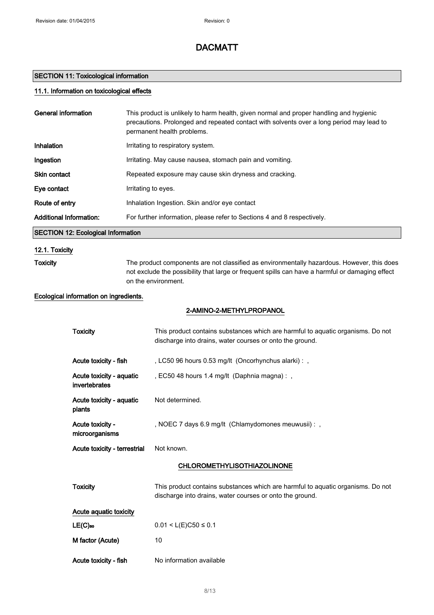### SECTION 11: Toxicological information

### 11.1. Information on toxicological effects

| <b>General information</b>             |                                           | This product is unlikely to harm health, given normal and proper handling and hygienic<br>precautions. Prolonged and repeated contact with solvents over a long period may lead to<br>permanent health problems. |
|----------------------------------------|-------------------------------------------|------------------------------------------------------------------------------------------------------------------------------------------------------------------------------------------------------------------|
| Inhalation                             |                                           | Irritating to respiratory system.                                                                                                                                                                                |
| Ingestion                              |                                           | Irritating. May cause nausea, stomach pain and vomiting.                                                                                                                                                         |
| Skin contact                           |                                           | Repeated exposure may cause skin dryness and cracking.                                                                                                                                                           |
| Eye contact                            |                                           | Irritating to eyes.                                                                                                                                                                                              |
| Route of entry                         |                                           | Inhalation Ingestion. Skin and/or eye contact                                                                                                                                                                    |
| <b>Additional Information:</b>         |                                           | For further information, please refer to Sections 4 and 8 respectively.                                                                                                                                          |
|                                        | <b>SECTION 12: Ecological Information</b> |                                                                                                                                                                                                                  |
| 12.1. Toxicity                         |                                           |                                                                                                                                                                                                                  |
| <b>Toxicity</b><br>on the environment. |                                           | The product components are not classified as environmentally hazardous. However, this does<br>not exclude the possibility that large or frequent spills can have a harmful or damaging effect                    |
|                                        | Ecological information on ingredients.    |                                                                                                                                                                                                                  |
|                                        |                                           | 2-AMINO-2-METHYLPROPANOL                                                                                                                                                                                         |
|                                        | <b>Toxicity</b>                           | This product contains substances which are harmful to aquatic organisms. Do not<br>discharge into drains, water courses or onto the ground.                                                                      |
|                                        | Acute toxicity - fish                     | , LC50 96 hours 0.53 mg/lt (Oncorhynchus alarki) : ,                                                                                                                                                             |
| invertebrates<br>plants                | Acute toxicity - aquatic                  | , EC50 48 hours 1.4 mg/lt (Daphnia magna):,                                                                                                                                                                      |
|                                        | Acute toxicity - aquatic                  | Not determined.                                                                                                                                                                                                  |
| Acute toxicity -<br>microorganisms     |                                           | , NOEC 7 days 6.9 mg/lt (Chlamydomones meuwusii) : ,                                                                                                                                                             |
|                                        | Acute toxicity - terrestrial              | Not known.                                                                                                                                                                                                       |
|                                        |                                           | CHLOROMETHYLISOTHIAZOLINONE                                                                                                                                                                                      |
|                                        | <b>Toxicity</b>                           | This product contains substances which are harmful to aquatic organisms. Do not<br>discharge into drains, water courses or onto the ground.                                                                      |
|                                        | Acute aquatic toxicity                    |                                                                                                                                                                                                                  |
|                                        | $LE(C)$ <sub>50</sub>                     | $0.01 < L(E)C50 \le 0.1$                                                                                                                                                                                         |
|                                        | M factor (Acute)                          | 10                                                                                                                                                                                                               |
|                                        | Acute toxicity - fish                     | No information available                                                                                                                                                                                         |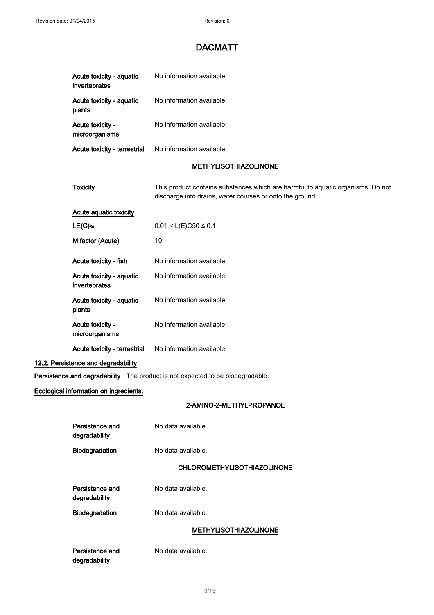|                                        | Acute toxicity - aquatic<br>invertebrates | No information available.                                                                                                                   |
|----------------------------------------|-------------------------------------------|---------------------------------------------------------------------------------------------------------------------------------------------|
|                                        | Acute toxicity - aquatic<br>plants        | No information available.                                                                                                                   |
|                                        | Acute toxicity -<br>microorganisms        | No information available.                                                                                                                   |
|                                        | Acute toxicity - terrestrial              | No information available.                                                                                                                   |
|                                        |                                           | <b>METHYLISOTHIAZOLINONE</b>                                                                                                                |
|                                        | <b>Toxicity</b>                           | This product contains substances which are harmful to aquatic organisms. Do not<br>discharge into drains, water courses or onto the ground. |
|                                        | Acute aquatic toxicity                    |                                                                                                                                             |
|                                        | $LE(C)$ 50                                | $0.01 < L(E)C50 \le 0.1$                                                                                                                    |
|                                        | M factor (Acute)                          | 10                                                                                                                                          |
|                                        | Acute toxicity - fish                     | No information available                                                                                                                    |
|                                        | Acute toxicity - aquatic<br>invertebrates | No information available.                                                                                                                   |
|                                        | Acute toxicity - aquatic<br>plants        | No information available.                                                                                                                   |
|                                        | Acute toxicity -<br>microorganisms        | No information available.                                                                                                                   |
|                                        | Acute toxicity - terrestrial              | No information available.                                                                                                                   |
|                                        | 12.2. Persistence and degradability       |                                                                                                                                             |
|                                        |                                           | Persistence and degradability The product is not expected to be biodegradable.                                                              |
| Ecological information on ingredients. |                                           |                                                                                                                                             |
|                                        |                                           | 2-AMINO-2-METHYLPROPANOL                                                                                                                    |
|                                        | Persistence and<br>degradability          | No data available.                                                                                                                          |
|                                        | Biodegradation                            | No data available.                                                                                                                          |
|                                        |                                           | <b>CHLOROMETHYLISOTHIAZOLINONE</b>                                                                                                          |
|                                        | Persistence and<br>degradability          | No data available.                                                                                                                          |
|                                        | Biodegradation                            | No data available.                                                                                                                          |
|                                        |                                           | <b>METHYLISOTHIAZOLINONE</b>                                                                                                                |

Persistence and degradability

No data available.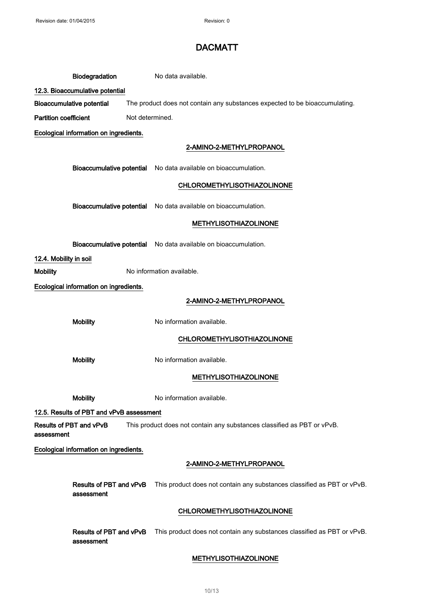|                                       | <b>Biodegradation</b>                                                       | No data available.                                                      |
|---------------------------------------|-----------------------------------------------------------------------------|-------------------------------------------------------------------------|
| 12.3. Bioaccumulative potential       |                                                                             |                                                                         |
| <b>Bioaccumulative potential</b>      | The product does not contain any substances expected to be bioaccumulating. |                                                                         |
| <b>Partition coefficient</b>          | Not determined.                                                             |                                                                         |
|                                       | Ecological information on ingredients.                                      |                                                                         |
|                                       |                                                                             | 2-AMINO-2-METHYLPROPANOL                                                |
|                                       |                                                                             | Bioaccumulative potential No data available on bioaccumulation.         |
|                                       |                                                                             | <b>CHLOROMETHYLISOTHIAZOLINONE</b>                                      |
|                                       |                                                                             | Bioaccumulative potential No data available on bioaccumulation.         |
|                                       |                                                                             | <b>METHYLISOTHIAZOLINONE</b>                                            |
|                                       |                                                                             | Bioaccumulative potential No data available on bioaccumulation.         |
| 12.4. Mobility in soil                |                                                                             |                                                                         |
| <b>Mobility</b>                       |                                                                             | No information available.                                               |
|                                       | Ecological information on ingredients.                                      |                                                                         |
|                                       |                                                                             | 2-AMINO-2-METHYLPROPANOL                                                |
| <b>Mobility</b>                       |                                                                             | No information available.                                               |
|                                       |                                                                             | <b>CHLOROMETHYLISOTHIAZOLINONE</b>                                      |
| <b>Mobility</b>                       |                                                                             | No information available.                                               |
|                                       |                                                                             | <b>METHYLISOTHIAZOLINONE</b>                                            |
| <b>Mobility</b>                       |                                                                             | No information available.                                               |
|                                       | 12.5. Results of PBT and vPvB assessment                                    |                                                                         |
| Results of PBT and vPvB<br>assessment |                                                                             | This product does not contain any substances classified as PBT or vPvB. |
|                                       | Ecological information on ingredients.                                      |                                                                         |
|                                       |                                                                             | 2-AMINO-2-METHYLPROPANOL                                                |
|                                       | Results of PBT and vPvB<br>assessment                                       | This product does not contain any substances classified as PBT or vPvB. |
|                                       |                                                                             | <b>CHLOROMETHYLISOTHIAZOLINONE</b>                                      |
|                                       | Results of PBT and vPvB<br>assessment                                       | This product does not contain any substances classified as PBT or vPvB. |
|                                       |                                                                             | <b>METHYLISOTHIAZOLINONE</b>                                            |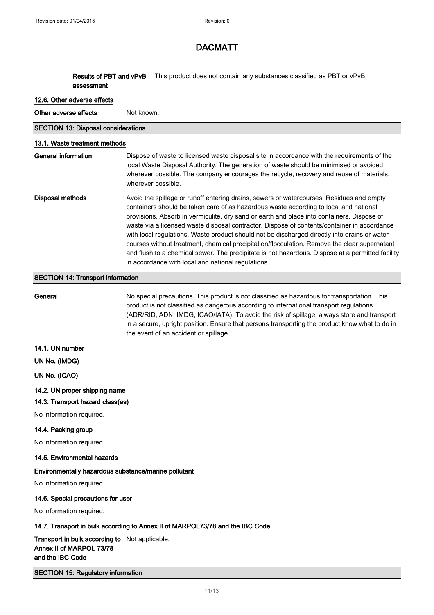Results of PBT and vPvB assessment This product does not contain any substances classified as PBT or vPvB.

#### 12.6. Other adverse effects

Other adverse effects Not known.

SECTION 13: Disposal considerations

#### 13.1. Waste treatment methods

| General information | Dispose of waste to licensed waste disposal site in accordance with the requirements of the<br>local Waste Disposal Authority. The generation of waste should be minimised or avoided<br>wherever possible. The company encourages the recycle, recovery and reuse of materials,<br>wherever possible.                                                                                                                                                                                                                                                                                                                                                                                                                                   |
|---------------------|------------------------------------------------------------------------------------------------------------------------------------------------------------------------------------------------------------------------------------------------------------------------------------------------------------------------------------------------------------------------------------------------------------------------------------------------------------------------------------------------------------------------------------------------------------------------------------------------------------------------------------------------------------------------------------------------------------------------------------------|
| Disposal methods    | Avoid the spillage or runoff entering drains, sewers or watercourses. Residues and empty<br>containers should be taken care of as hazardous waste according to local and national<br>provisions. Absorb in vermiculite, dry sand or earth and place into containers. Dispose of<br>waste via a licensed waste disposal contractor. Dispose of contents/container in accordance<br>with local regulations. Waste product should not be discharged directly into drains or water<br>courses without treatment, chemical precipitation/flocculation. Remove the clear supernatant<br>and flush to a chemical sewer. The precipitate is not hazardous. Dispose at a permitted facility<br>in accordance with local and national regulations. |

#### SECTION 14: Transport information

General **No special precautions**. This product is not classified as hazardous for transportation. This product is not classified as dangerous according to international transport regulations (ADR/RID, ADN, IMDG, ICAO/IATA). To avoid the risk of spillage, always store and transport in a secure, upright position. Ensure that persons transporting the product know what to do in the event of an accident or spillage.

#### 14.1. UN number

UN No. (IMDG)

UN No. (ICAO)

#### 14.2. UN proper shipping name

#### 14.3. Transport hazard class(es)

No information required.

#### 14.4. Packing group

No information required.

### 14.5. Environmental hazards

### Environmentally hazardous substance/marine pollutant

No information required.

#### 14.6. Special precautions for user

No information required.

#### 14.7. Transport in bulk according to Annex II of MARPOL73/78 and the IBC Code

### Transport in bulk according to Not applicable. Annex II of MARPOL 73/78 and the IBC Code

### SECTION 15: Regulatory information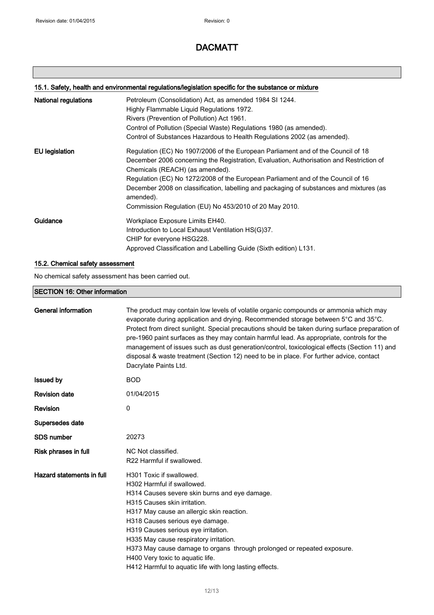### 15.1. Safety, health and environmental regulations/legislation specific for the substance or mixture

| National regulations  | Petroleum (Consolidation) Act, as amended 1984 SI 1244.<br>Highly Flammable Liquid Regulations 1972.<br>Rivers (Prevention of Pollution) Act 1961.<br>Control of Pollution (Special Waste) Regulations 1980 (as amended).<br>Control of Substances Hazardous to Health Regulations 2002 (as amended).                                                                                                                                                                |
|-----------------------|----------------------------------------------------------------------------------------------------------------------------------------------------------------------------------------------------------------------------------------------------------------------------------------------------------------------------------------------------------------------------------------------------------------------------------------------------------------------|
| <b>EU</b> legislation | Regulation (EC) No 1907/2006 of the European Parliament and of the Council of 18<br>December 2006 concerning the Registration, Evaluation, Authorisation and Restriction of<br>Chemicals (REACH) (as amended).<br>Regulation (EC) No 1272/2008 of the European Parliament and of the Council of 16<br>December 2008 on classification, labelling and packaging of substances and mixtures (as<br>amended).<br>Commission Regulation (EU) No 453/2010 of 20 May 2010. |
| Guidance              | Workplace Exposure Limits EH40.<br>Introduction to Local Exhaust Ventilation HS(G)37.<br>CHIP for everyone HSG228.<br>Approved Classification and Labelling Guide (Sixth edition) L131.                                                                                                                                                                                                                                                                              |

### 15.2. Chemical safety assessment

No chemical safety assessment has been carried out.

#### SECTION 16: Other information

| <b>General information</b> | The product may contain low levels of volatile organic compounds or ammonia which may<br>evaporate during application and drying. Recommended storage between 5°C and 35°C.<br>Protect from direct sunlight. Special precautions should be taken during surface preparation of<br>pre-1960 paint surfaces as they may contain harmful lead. As appropriate, controls for the<br>management of issues such as dust generation/control, toxicological effects (Section 11) and<br>disposal & waste treatment (Section 12) need to be in place. For further advice, contact<br>Dacrylate Paints Ltd. |
|----------------------------|---------------------------------------------------------------------------------------------------------------------------------------------------------------------------------------------------------------------------------------------------------------------------------------------------------------------------------------------------------------------------------------------------------------------------------------------------------------------------------------------------------------------------------------------------------------------------------------------------|
| <b>Issued by</b>           | <b>BOD</b>                                                                                                                                                                                                                                                                                                                                                                                                                                                                                                                                                                                        |
| <b>Revision date</b>       | 01/04/2015                                                                                                                                                                                                                                                                                                                                                                                                                                                                                                                                                                                        |
| <b>Revision</b>            | 0                                                                                                                                                                                                                                                                                                                                                                                                                                                                                                                                                                                                 |
| Supersedes date            |                                                                                                                                                                                                                                                                                                                                                                                                                                                                                                                                                                                                   |
| <b>SDS number</b>          | 20273                                                                                                                                                                                                                                                                                                                                                                                                                                                                                                                                                                                             |
| Risk phrases in full       | NC Not classified.<br>R22 Harmful if swallowed.                                                                                                                                                                                                                                                                                                                                                                                                                                                                                                                                                   |
| Hazard statements in full  | H301 Toxic if swallowed.<br>H302 Harmful if swallowed.<br>H314 Causes severe skin burns and eye damage.<br>H315 Causes skin irritation.<br>H317 May cause an allergic skin reaction.<br>H318 Causes serious eye damage.<br>H319 Causes serious eye irritation.<br>H335 May cause respiratory irritation.<br>H373 May cause damage to organs through prolonged or repeated exposure.<br>H400 Very toxic to aquatic life.<br>H412 Harmful to aquatic life with long lasting effects.                                                                                                                |